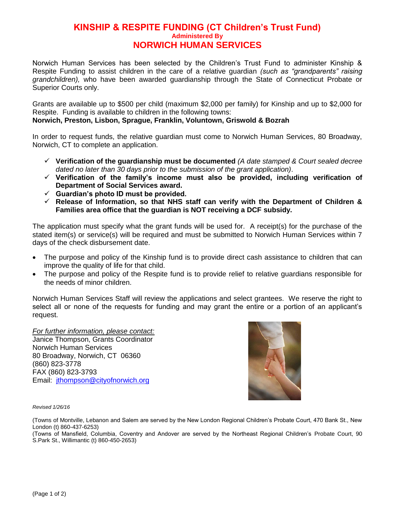## **KINSHIP & RESPITE FUNDING (CT Children's Trust Fund) Administered By NORWICH HUMAN SERVICES**

Norwich Human Services has been selected by the Children's Trust Fund to administer Kinship & Respite Funding to assist children in the care of a relative guardian *(such as "grandparents" raising grandchildren),* who have been awarded guardianship through the State of Connecticut Probate or Superior Courts only.

Grants are available up to \$500 per child (maximum \$2,000 per family) for Kinship and up to \$2,000 for Respite. Funding is available to children in the following towns:

## **Norwich, Preston, Lisbon, Sprague, Franklin, Voluntown, Griswold & Bozrah**

In order to request funds, the relative guardian must come to Norwich Human Services, 80 Broadway, Norwich, CT to complete an application.

- **Verification of the guardianship must be documented** *(A date stamped & Court sealed decree dated no later than 30 days prior to the submission of the grant application)*.
- **Verification of the family's income must also be provided, including verification of Department of Social Services award.**
- **Guardian's photo ID must be provided.**
- **Release of Information, so that NHS staff can verify with the Department of Children & Families area office that the guardian is NOT receiving a DCF subsidy.**

The application must specify what the grant funds will be used for. A receipt(s) for the purchase of the stated item(s) or service(s) will be required and must be submitted to Norwich Human Services within 7 days of the check disbursement date.

- The purpose and policy of the Kinship fund is to provide direct cash assistance to children that can improve the quality of life for that child.
- The purpose and policy of the Respite fund is to provide relief to relative guardians responsible for the needs of minor children.

Norwich Human Services Staff will review the applications and select grantees. We reserve the right to select all or none of the requests for funding and may grant the entire or a portion of an applicant's request.

*For further information, please contact:* Janice Thompson, Grants Coordinator Norwich Human Services 80 Broadway, Norwich, CT 06360 (860) 823-3778 FAX (860) 823-3793 Email: [jthompson@cityofnorwich.org](mailto:norwichsocserv@cityofnorwich.org)



*Revised 1/26/16*

(Towns of Montville, Lebanon and Salem are served by the New London Regional Children's Probate Court, 470 Bank St., New London (t) 860-437-6253)

(Towns of Mansfield, Columbia, Coventry and Andover are served by the Northeast Regional Children's Probate Court, 90 S.Park St., Willimantic (t) 860-450-2653)